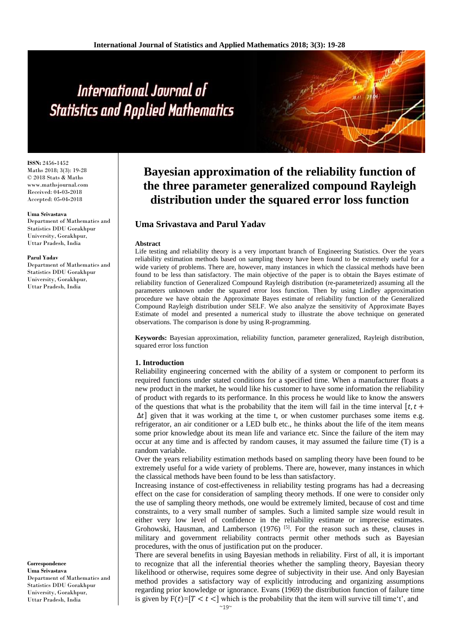**ISSN:** 2456**-**1452 Maths 2018; 3(3): 19-28 © 2018 Stats & Maths www.mathsjournal.com Received: 04**-**03**-**2018 Accepted: 05**-**04**-**2018

#### **Uma Srivastava**

Department of Mathematics and Statistics DDU Gorakhpur University, Gorakhpur, Uttar Pradesh, India

#### **Parul Yadav**

Department of Mathematics and Statistics DDU Gorakhpur University, Gorakhpur, Uttar Pradesh, India

# **Correspondence**

**Uma Srivastava** Department of Mathematics and Statistics DDU Gorakhpur University, Gorakhpur, Uttar Pradesh, India

# **Bayesian approximation of the reliability function of the three parameter generalized compound Rayleigh distribution under the squared error loss function**

# **Uma Srivastava and Parul Yadav**

#### **Abstract**

Life testing and reliability theory is a very important branch of Engineering Statistics. Over the years reliability estimation methods based on sampling theory have been found to be extremely useful for a wide variety of problems. There are, however, many instances in which the classical methods have been found to be less than satisfactory. The main objective of the paper is to obtain the Bayes estimate of reliability function of Generalized Compound Rayleigh distribution (re**-**parameterized) assuming all the parameters unknown under the squared error loss function. Then by using Lindley approximation procedure we have obtain the Approximate Bayes estimate of reliability function of the Generalized Compound Rayleigh distribution under SELF. We also analyze the sensitivity of Approximate Bayes Estimate of model and presented a numerical study to illustrate the above technique on generated observations. The comparison is done by using R**-**programming.

**Keywords:** Bayesian approximation, reliability function, parameter generalized, Rayleigh distribution, squared error loss function

#### **1. Introduction**

Reliability engineering concerned with the ability of a system or component to perform its required functions under stated conditions for a specified time. When a manufacturer floats a new product in the market, he would like his customer to have some information the reliability of product with regards to its performance. In this process he would like to know the answers of the questions that what is the probability that the item will fail in the time interval  $[t, t +$  $\Delta t$ ] given that it was working at the time t, or when customer purchases some items e.g. refrigerator, an air conditioner or a LED bulb etc., he thinks about the life of the item means some prior knowledge about its mean life and variance etc. Since the failure of the item may occur at any time and is affected by random causes, it may assumed the failure time (T) is a random variable.

Over the years reliability estimation methods based on sampling theory have been found to be extremely useful for a wide variety of problems. There are, however, many instances in which the classical methods have been found to be less than satisfactory.

Increasing instance of cost**-**effectiveness in reliability testing programs has had a decreasing effect on the case for consideration of sampling theory methods. If one were to consider only the use of sampling theory methods, one would be extremely limited, because of cost and time constraints, to a very small number of samples. Such a limited sample size would result in either very low level of confidence in the reliability estimate or imprecise estimates. Grohowski, Hausman, and Lamberson (1976) <sup>[5]</sup>. For the reason such as these, clauses in military and government reliability contracts permit other methods such as Bayesian procedures, with the onus of justification put on the producer.

There are several benefits in using Bayesian methods in reliability. First of all, it is important to recognize that all the inferential theories whether the sampling theory, Bayesian theory likelihood or otherwise, requires some degree of subjectivity in their use. And only Bayesian method provides a satisfactory way of explicitly introducing and organizing assumptions regarding prior knowledge or ignorance. Evans (1969) the distribution function of failure time is given by  $F(t)=[T < t < ]$  which is the probability that the item will survive till time't', and

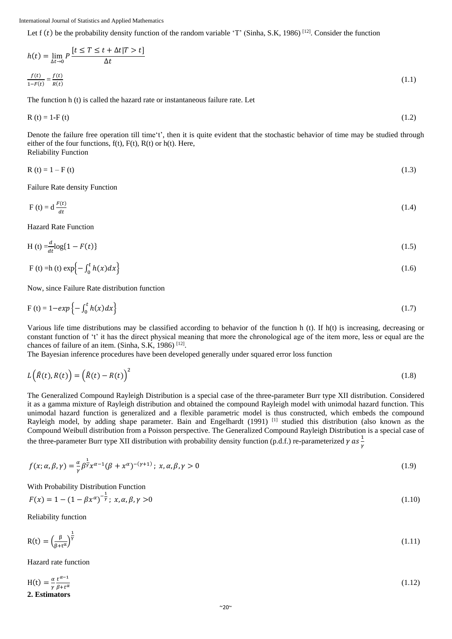Let  $f(t)$  be the probability density function of the random variable 'T' (Sinha, S.K, 1986)<sup>[12]</sup>. Consider the function

$$
h(t) = \lim_{\Delta t \to 0} P \frac{\left[t \le T \le t + \Delta t | T > t\right]}{\Delta t}
$$
  

$$
\frac{f(t)}{1 - F(t)} = \frac{f(t)}{R(t)}
$$
 (1.1)

The function h (t) is called the hazard rate or instantaneous failure rate. Let

$$
R(t) = 1 - F(t) \tag{1.2}
$$

Denote the failure free operation till time't', then it is quite evident that the stochastic behavior of time may be studied through either of the four functions,  $f(t)$ ,  $F(t)$ ,  $R(t)$  or  $h(t)$ . Here, Reliability Function

$$
R(t) = 1 - F(t)
$$
 (1.3)

Failure Rate density Function

$$
F(t) = d \frac{F(t)}{dt} \tag{1.4}
$$

Hazard Rate Function

$$
H(t) = \frac{d}{dt} \log(1 - F(t))
$$
\n(1.5)

$$
F(t) = h(t) \exp\left\{-\int_0^t h(x)dx\right\}
$$
 (1.6)

Now, since Failure Rate distribution function

$$
F(t) = 1 - exp\left\{-\int_0^t h(x)dx\right\}
$$
\n(1.7)

Various life time distributions may be classified according to behavior of the function h (t). If h(t) is increasing, decreasing or constant function of 't' it has the direct physical meaning that more the chronological age of the item more, less or equal are the chances of failure of an item. (Sinha, S.K, 1986)  $[12]$ .

The Bayesian inference procedures have been developed generally under squared error loss function

$$
L(\hat{R}(t), R(t)) = (\hat{R}(t) - R(t))^2
$$
\n(1.8)

The Generalized Compound Rayleigh Distribution is a special case of the three**-**parameter Burr type XII distribution. Considered it as a gamma mixture of Rayleigh distribution and obtained the compound Rayleigh model with unimodal hazard function. This unimodal hazard function is generalized and a flexible parametric model is thus constructed, which embeds the compound Rayleigh model, by adding shape parameter. Bain and Engelhardt (1991) <sup>[1]</sup> studied this distribution (also known as the Compound Weibull distribution from a Poisson perspective. The Generalized Compound Rayleigh Distribution is a special case of the three-parameter Burr type XII distribution with probability density function (p.d.f.) re-parameterized  $\gamma$  as  $\frac{1}{2}$  $\gamma$ 

$$
f(x; \alpha, \beta, \gamma) = \frac{\alpha}{\gamma} \beta^{\frac{1}{\gamma}} x^{\alpha - 1} (\beta + x^{\alpha})^{-(\gamma + 1)}; x, \alpha, \beta, \gamma > 0
$$
\n(1.9)

With Probability Distribution Function

$$
F(x) = 1 - (1 - \beta x^{\alpha})^{-\frac{1}{\gamma}}; x, \alpha, \beta, \gamma > 0
$$
\n(1.10)

Reliability function

$$
R(t) = \left(\frac{\beta}{\beta + t^{\alpha}}\right)^{\frac{1}{\gamma}}
$$
\n(1.11)

Hazard rate function

$$
H(t) = \frac{\alpha}{\gamma} \frac{t^{\alpha - 1}}{\beta + t^{\alpha}}
$$
 (1.12)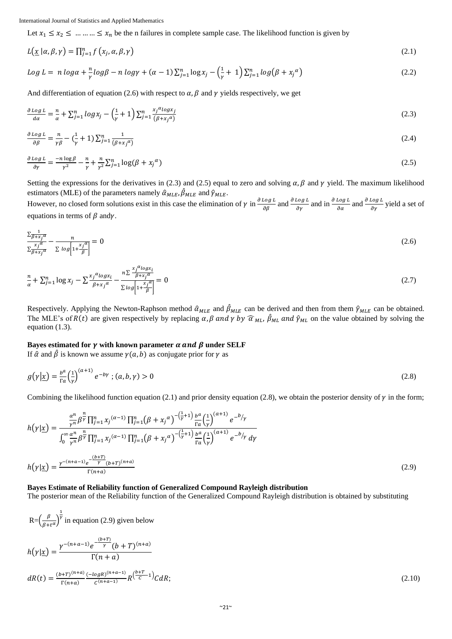Let  $x_1 \le x_2 \le \dots \dots \le x_n$  be the n failures in complete sample case. The likelihood function is given by

$$
L(\underline{x} \mid \alpha, \beta, \gamma) = \prod_{j=1}^{n} f(x_j, \alpha, \beta, \gamma)
$$
\n(2.1)

$$
Log L = n log \alpha + \frac{n}{\gamma} log \beta - n log \gamma + (\alpha - 1) \sum_{j=1}^{n} log x_j - (\frac{1}{\gamma} + 1) \sum_{j=1}^{n} log (\beta + x_j^{\alpha})
$$
\n(2.2)

And differentiation of equation (2.6) with respect to  $\alpha$ ,  $\beta$  and  $\gamma$  yields respectively, we get

$$
\frac{\partial \log L}{d\alpha} = \frac{n}{\alpha} + \sum_{j=1}^{n} \log x_j - \left(\frac{1}{\gamma} + 1\right) \sum_{j=1}^{n} \frac{x_j^{\alpha} \log x_j}{(\beta + x_j^{\alpha})}
$$
(2.3)

$$
\frac{\partial \log L}{\partial \beta} = \frac{n}{\gamma \beta} - \left(\frac{1}{\gamma} + 1\right) \sum_{j=1}^{n} \frac{1}{\left(\beta + x_j \alpha\right)}\tag{2.4}
$$

$$
\frac{\partial \log L}{\partial \gamma} = \frac{-n \log \beta}{\gamma^2} - \frac{n}{\gamma} + \frac{n}{\gamma^2} \sum_{j=1}^n \log(\beta + x_j^{\alpha})
$$
\n(2.5)

Setting the expressions for the derivatives in (2.3) and (2.5) equal to zero and solving  $\alpha$ ,  $\beta$  and  $\gamma$  yield. The maximum likelihood estimators (MLE) of the parameters namely  $\hat{\alpha}_{MLE}, \hat{\beta}_{MLE}$  and  $\hat{\gamma}_{MLE}$ .

However, no closed form solutions exist in this case the elimination of  $\gamma$  in  $\frac{\partial \log L}{\partial \beta}$  and  $\frac{\partial \log L}{\partial \gamma}$  and in  $\frac{\partial \log L}{\partial \alpha}$  and  $\frac{\partial \log L}{\partial \gamma}$  yield a set of equations in terms of  $\beta$  andy.

$$
\frac{\sum_{\overline{\beta}+x_j\overline{a}}}{\sum_{\overline{\beta}+x_j\overline{a}}}-\frac{n}{\sum log\left[1+\frac{x_j\overline{a}}{\beta}\right]}=0
$$
\n(2.6)

$$
\frac{n}{\alpha} + \sum_{j=1}^{n} \log x_j - \sum \frac{x_j^{\alpha} \log x_i}{\beta + x_j^{\alpha}} - \frac{n \sum \frac{x_j^{\alpha} \log x_i}{\beta + x_j^{\alpha}}}{\sum \log \left[1 + \frac{x_j^{\alpha}}{\beta}\right]} = 0
$$
\n(2.7)

Respectively. Applying the Newton-Raphson method  $\hat{\alpha}_{MLE}$  and  $\hat{\beta}_{MLE}$  can be derived and then from them  $\hat{\gamma}_{MLE}$  can be obtained. The MLE's of  $R(t)$  are given respectively by replacing  $\alpha$ ,  $\beta$  and  $\gamma$  by  $\widehat{\alpha}_{ML}$ ,  $\widehat{\beta}_{ML}$  and  $\widehat{\gamma}_{ML}$  on the value obtained by solving the equation (1.3).

### **Bayes estimated for**  $\gamma$  **with known parameter**  $\alpha$  **and**  $\beta$  **under SELF**

If  $\hat{\alpha}$  and  $\hat{\beta}$  is known we assume  $\gamma(a, b)$  as conjugate prior for  $\gamma$  as

$$
g(\gamma|\underline{x}) = \frac{b^a}{\Gamma a} \left(\frac{1}{\gamma}\right)^{(a+1)} e^{-b\gamma}; (a, b, \gamma) > 0
$$
\n
$$
(2.8)
$$

Combining the likelihood function equation (2.1) and prior density equation (2.8), we obtain the posterior density of  $\gamma$  in the form;

$$
h(\gamma | \underline{x}) = \frac{\frac{\alpha^n}{\gamma^n} \beta^{\frac{n}{\gamma}} \prod_{j=1}^n x_j^{(\alpha-1)} \prod_{j=1}^n (\beta + x_j^{\alpha})^{-\left(\frac{1}{\gamma}+1\right)} \frac{b^{\alpha}}{\Gamma \alpha} \left(\frac{1}{\gamma}\right)^{(\alpha+1)}}{\int_0^{\infty} \frac{\alpha^n}{\gamma^n} \beta^{\frac{n}{\gamma}} \prod_{j=1}^n x_j^{(\alpha-1)} \prod_{j=1}^n (\beta + x_j^{\alpha})^{-\left(\frac{1}{\gamma}+1\right)} \frac{b^{\alpha}}{\Gamma \alpha} \left(\frac{1}{\gamma}\right)^{(\alpha+1)}} e^{-b/\gamma} d\gamma}
$$
  
\n
$$
h(\gamma | \underline{x}) = \frac{\gamma^{-(n+a-1)} e^{-\frac{(b+T)}{\gamma}} (b+T)^{(n+a)}}{\Gamma(n+a)}
$$
\n(2.9)

### **Bayes Estimate of Reliability function of Generalized Compound Rayleigh distribution**

The posterior mean of the Reliability function of the Generalized Compound Rayleigh distribution is obtained by substituting

$$
R = \left(\frac{\beta}{\beta + t^{\alpha}}\right)^{\frac{1}{\gamma}}
$$
 in equation (2.9) given below  

$$
h(\gamma | \underline{x}) = \frac{\gamma^{-(n+a-1)} e^{-\frac{(b+T)}{\gamma}} (b+T)^{(n+a)}}{\Gamma(n+a)}
$$

$$
dR(t) = \frac{(b+T)^{(n+a)}}{\Gamma(n+a)} \frac{(-\log R)^{(n+a-1)}}{C^{(n+a-1)}} R^{\frac{(b+T)}{C} - 1} C dR;
$$
(2.10)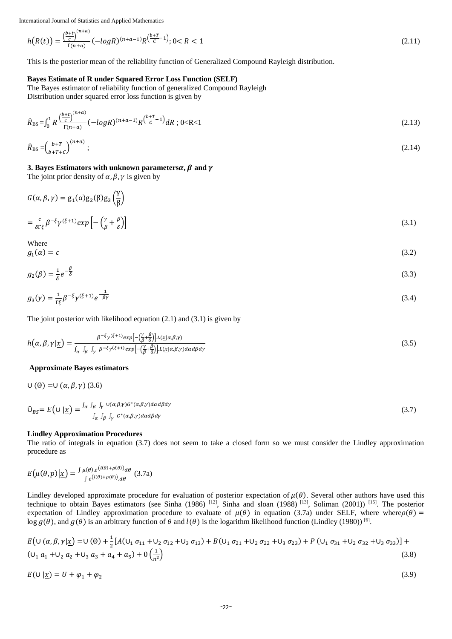$$
h\big(R(t)\big) = \frac{\left(\frac{b+t}{c}\right)^{(n+a)}}{\Gamma(n+a)} \left(-\log R\right)^{(n+a-1)} R^{\left(\frac{b+T}{c}-1\right)}; 0 < R < 1\tag{2.11}
$$

This is the posterior mean of the reliability function of Generalized Compound Rayleigh distribution.

#### **Bayes Estimate of R under Squared Error Loss Function (SELF)**

The Bayes estimator of reliability function of generalized Compound Rayleigh Distribution under squared error loss function is given by

$$
\hat{R}_{\rm BS} = \int_0^1 R \frac{\left(\frac{b+t}{c}\right)^{(n+a)}}{\Gamma(n+a)} \left(-\log R\right)^{(n+a-1)} R \left(\frac{b+T}{c} - 1\right) dR \, ; \, 0 < R < 1 \tag{2.13}
$$

$$
\hat{R}_{\rm BS} = \left(\frac{b+T}{b+T+C}\right)^{(n+a)}; \tag{2.14}
$$

#### **3. Bayes Estimators with unknown parameters**  $\alpha$ **,**  $\beta$  **and**  $\gamma$

The joint prior density of  $\alpha$ ,  $\beta$ ,  $\gamma$  is given by

$$
G(\alpha, \beta, \gamma) = g_1(\alpha)g_2(\beta)g_3\left(\frac{\gamma}{\beta}\right)
$$
  
= 
$$
\frac{c}{\beta} \beta^{-\xi} \gamma^{(\xi+1)} exp\left[-\left(\frac{\gamma}{\beta} + \frac{\beta}{\beta}\right)\right]
$$
 (3.1)

$$
= \frac{c}{\delta \Gamma \xi} \beta^{-\xi} \gamma^{(\xi+1)} \exp\left[-\left(\frac{\gamma}{\beta} + \frac{\beta}{\delta}\right)\right]
$$
\n(3.1)

Where  $g_1(\alpha) = c$ 

$$
g_1(\alpha) = c \tag{3.2}
$$

$$
g_2(\beta) = \frac{1}{\delta} e^{-\frac{\beta}{\delta}} \tag{3.3}
$$

$$
g_3(\gamma) = \frac{1}{\Gamma \xi} \beta^{-\xi} \gamma^{(\xi+1)} e^{-\frac{1}{\beta \gamma}}
$$
(3.4)

The joint posterior with likelihood equation  $(2.1)$  and  $(3.1)$  is given by

$$
h(\alpha, \beta, \gamma | \underline{x}) = \frac{\beta^{-\xi} \gamma^{(\xi+1)} exp[-(\frac{\gamma}{\beta} + \frac{\beta}{\delta})] L(\underline{x} | \alpha, \beta, \gamma)}{\int_{\alpha} \int_{\beta} \int_{\gamma} \beta^{-\xi} \gamma^{(\xi+1)} exp[-(\frac{\gamma}{\beta} + \frac{\beta}{\delta})] L(\underline{x} | \alpha, \beta, \gamma) d\alpha d\beta d\gamma}
$$
(3.5)

#### **Approximate Bayes estimators**

$$
U(\theta) = U(\alpha, \beta, \gamma) (3.6)
$$
  

$$
O_{BS} = E(U | \underline{x}) = \frac{\int_{\alpha} \int_{\beta} \int_{\gamma} U(\alpha, \beta, \gamma) G^{*}(\alpha, \beta, \gamma) d\alpha d\beta d\gamma}{\int_{\alpha} \int_{\beta} \int_{\gamma} G^{*}(\alpha, \beta, \gamma) d\alpha d\beta d\gamma}
$$
 (3.7)

#### **Lindley Approximation Procedures**

The ratio of integrals in equation (3.7) does not seem to take a closed form so we must consider the Lindley approximation procedure as

$$
E(\mu(\theta, p)|\underline{x}) = \frac{\int \mu(\theta) \cdot e^{(\lambda(\theta) + \rho(\theta))} d\theta}{\int e^{(\lambda(\theta) + \rho(\theta))} d\theta} (3.7a)
$$

Lindley developed approximate procedure for evaluation of posterior expectation of  $\mu(\theta)$ . Several other authors have used this technique to obtain Bayes estimators (see Sinha (1986)  $[12]$ , Sinha and sloan (1988)  $[13]$ , Soliman (2001))  $[15]$ . The posterior expectation of Lindley approximation procedure to evaluate of  $\mu(\theta)$  in equation (3.7a) under SELF, where where  $\rho(\theta)$  =  $\log g(\theta)$ , and  $g(\theta)$  is an arbitrary function of  $\theta$  and  $l(\theta)$  is the logarithm likelihood function (Lindley (1980)) [6].

$$
E\left(\cup (\alpha, \beta, \gamma | \underline{x}) = \cup (\theta) + \frac{1}{2} [A(\cup_1 \sigma_{11} + \cup_2 \sigma_{12} + \cup_3 \sigma_{13}) + B(\cup_1 \sigma_{21} + \cup_2 \sigma_{22} + \cup_3 \sigma_{23}) + P(\cup_1 \sigma_{31} + \cup_2 \sigma_{32} + \cup_3 \sigma_{33})] + ( \cup_1 a_1 + \cup_2 a_2 + \cup_3 a_3 + a_4 + a_5) + 0 \left(\frac{1}{n^2}\right)
$$
\n(3.8)

$$
E(\cup|\underline{x}) = U + \varphi_1 + \varphi_2 \tag{3.9}
$$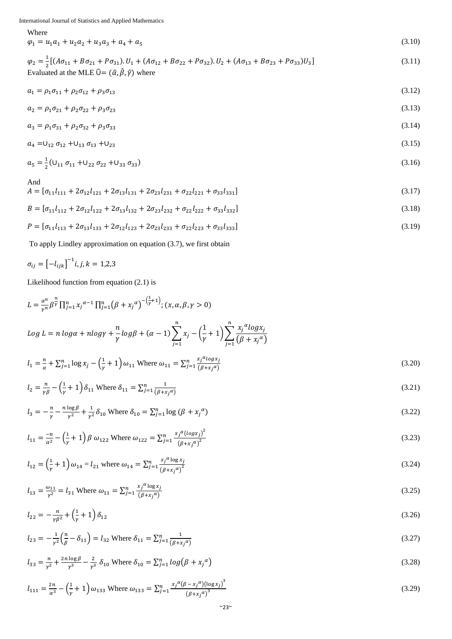Where

 $\varphi_1 = u_1 a_1 + u_2 a_2 + u_3 a_3 + a_4 + a_5$ 

 $\varphi_2 = \frac{1}{2}$  $\frac{1}{2}[(A\sigma_{11} + B\sigma_{21} + P\sigma_{31})$ . $U_1 + (A\sigma_{12} + B\sigma_{22} + P\sigma_{32})$ . $U_2 + (A\sigma_{13} + B\sigma_{23} + P\sigma_{33})U_3$  $(3.11)$ Evaluated at the MLE  $\hat{U} = (\hat{\alpha}, \hat{\beta}, \hat{\gamma})$  where

(3.10)

$$
a_1 = \rho_1 \sigma_{11} + \rho_2 \sigma_{12} + \rho_3 \sigma_{13} \tag{3.12}
$$

$$
a_2 = \rho_1 \sigma_{21} + \rho_2 \sigma_{22} + \rho_3 \sigma_{23} \tag{3.13}
$$

$$
a_3 = \rho_1 \sigma_{31} + \rho_2 \sigma_{32} + \rho_3 \sigma_{33} \tag{3.14}
$$

$$
a_4 = U_{12} \sigma_{12} + U_{13} \sigma_{13} + U_{23} \tag{3.15}
$$

$$
a_5 = \frac{1}{2} (U_{11} \sigma_{11} + U_{22} \sigma_{22} + U_{33} \sigma_{33})
$$
\n(3.16)

And

$$
A = [\sigma_{11}l_{111} + 2\sigma_{12}l_{121} + 2\sigma_{13}l_{131} + 2\sigma_{23}l_{231} + \sigma_{22}l_{221} + \sigma_{33}l_{331}]
$$
\n(3.17)

$$
B = [\sigma_{11}l_{112} + 2\sigma_{12}l_{122} + 2\sigma_{13}l_{132} + 2\sigma_{23}l_{232} + \sigma_{22}l_{222} + \sigma_{33}l_{332}] \tag{3.18}
$$

$$
P = [\sigma_{11}l_{113} + 2\sigma_{13}l_{133} + 2\sigma_{12}l_{123} + 2\sigma_{23}l_{233} + \sigma_{22}l_{223} + \sigma_{33}l_{333}] \tag{3.19}
$$

To apply Lindley approximation on equation (3.7), we first obtain

$$
\sigma_{ij} = \left[ -l_{ijk} \right]^{-1} i, j, k = 1, 2, 3
$$

Likelihood function from equation (2.1) is

$$
L = \frac{\alpha^n}{\gamma^n} \beta^{\frac{n}{\gamma}} \prod_{j=1}^n x_j^{\alpha-1} \prod_{j=1}^n (\beta + x_j^{\alpha})^{-\left(\frac{1}{\gamma}+1\right)}; (x, \alpha, \beta, \gamma > 0)
$$
  
\n
$$
Log L = n \log \alpha + n \log \gamma + \frac{n}{\gamma} \log \beta + (\alpha - 1) \sum_{j=1}^n x_j - \left(\frac{1}{\gamma} + 1\right) \sum_{j=1}^n \frac{x_j^{\alpha} \log x_j}{(\beta + x_j^{\alpha})}
$$
  
\n
$$
l_1 = \frac{n}{\alpha} + \sum_{j=1}^n \log x_j - \left(\frac{1}{\gamma} + 1\right) \omega_{11}
$$
 Where  $\omega_{11} = \sum_{j=1}^n \frac{x_j^{\alpha} \log x_j}{(\beta + x_j^{\alpha})}$  (3.20)

$$
l_2 = \frac{n}{\gamma \beta} - \left(\frac{1}{\gamma} + 1\right) \delta_{11} \text{ Where } \delta_{11} = \sum_{j=1}^n \frac{1}{(\beta + x_j^{\alpha})}
$$
\n(3.21)

$$
l_3 = -\frac{n}{\gamma} - \frac{n \log \beta}{\gamma^2} + \frac{1}{\gamma^2} \delta_{10} \text{ Where } \delta_{10} = \sum_{j=1}^n \log (\beta + x_j^{\alpha})
$$
\n(3.22)

$$
l_{11} = \frac{-n}{\alpha^2} - \left(\frac{1}{\gamma} + 1\right)\beta \omega_{122} \text{ Where } \omega_{122} = \sum_{j=1}^{n} \frac{x_j^{\alpha} (\log x_j)^2}{\left(\beta + x_j^{\alpha}\right)^2}
$$
\n(3.23)

$$
l_{12} = \left(\frac{1}{\gamma} + 1\right)\omega_{14} = l_{21} \text{ where } \omega_{14} = \sum_{j=1}^{n} \frac{x_j^{\alpha} \log x_j}{\left(\beta + x_j^{\alpha}\right)^2}
$$
\n(3.24)

$$
l_{13} = \frac{\omega_{11}}{r^2} = l_{31} \text{ Where } \omega_{11} = \sum_{j=1}^n \frac{x_j^{\alpha} \log x_j}{(\beta + x_j^{\alpha})}
$$
\n(3.25)

$$
l_{22} = -\frac{n}{\gamma \beta^2} + \left(\frac{1}{\gamma} + 1\right)\delta_{12} \tag{3.26}
$$

$$
l_{23} = -\frac{1}{r^2} \left(\frac{n}{\beta} - \delta_{11}\right) = l_{32} \text{ Where } \delta_{11} = \sum_{j=1}^n \frac{1}{(\beta + x_j a)}
$$
\n(3.27)

$$
l_{33} = \frac{n}{\gamma^2} + \frac{2n \log \beta}{\gamma^3} - \frac{2}{\gamma^3} \delta_{10} \text{ Where } \delta_{10} = \sum_{j=1}^n \log (\beta + x_j^{\alpha})
$$
\n(3.28)

$$
l_{111} = \frac{2n}{\alpha^3} - \left(\frac{1}{\gamma} + 1\right)\omega_{133} \text{ Where } \omega_{133} = \sum_{j=1}^{n} \frac{x_j^{\alpha}(\beta - x_j^{\alpha})(\log x_j)^3}{(\beta + x_j^{\alpha})^3}
$$
\n(3.29)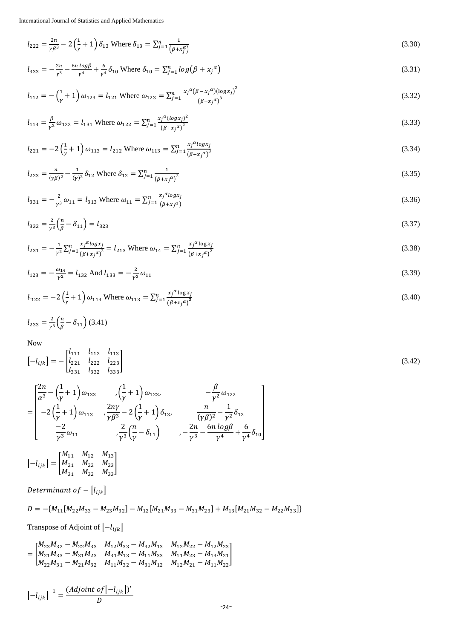$$
l_{222} = \frac{2n}{\gamma \beta^3} - 2\left(\frac{1}{\gamma} + 1\right)\delta_{13} \text{ Where } \delta_{13} = \sum_{j=1}^n \frac{1}{\left(\beta + x_j^{\alpha}\right)}\tag{3.30}
$$

$$
l_{333} = -\frac{2n}{\gamma^3} - \frac{6n \log \beta}{\gamma^4} + \frac{6}{\gamma^4} \delta_{10} \text{ Where } \delta_{10} = \sum_{j=1}^n \log (\beta + x_j^{\alpha})
$$
\n(3.31)

$$
l_{112} = -\left(\frac{1}{\gamma} + 1\right)\omega_{123} = l_{121} \text{ Where } \omega_{123} = \sum_{j=1}^{n} \frac{x_j^{\alpha} (\beta - x_j^{\alpha}) (\log x_j)^2}{(\beta + x_j^{\alpha})^3}
$$
\n(3.32)

$$
l_{113} = \frac{\beta}{r^2} \omega_{122} = l_{131} \text{ Where } \omega_{122} = \sum_{j=1}^n \frac{x_j^{\alpha} (\log x_j)^2}{(\beta + x_j^{\alpha})^2}
$$
\n(3.33)

$$
l_{221} = -2\left(\frac{1}{\gamma} + 1\right)\omega_{113} = l_{212} \text{ Where } \omega_{113} = \sum_{j=1}^{n} \frac{x_j^{\alpha} \log x_j}{(\beta + x_j^{\alpha})^3}
$$
\n(3.34)

$$
l_{223} = \frac{n}{(\gamma \beta)^2} - \frac{1}{(\gamma)^2} \delta_{12} \text{ Where } \delta_{12} = \sum_{j=1}^n \frac{1}{(\beta + x_j \alpha)^2}
$$
\n(3.35)

$$
l_{331} = -\frac{2}{r^3}\omega_{11} = l_{313} \text{ Where } \omega_{11} = \sum_{j=1}^n \frac{x_j^{\alpha} \log x_j}{(\beta + x_j^{\alpha})}
$$
\n(3.36)

$$
l_{332} = \frac{2}{r^3} \left(\frac{n}{\beta} - \delta_{11}\right) = l_{323} \tag{3.37}
$$

$$
l_{231} = -\frac{1}{r^2} \sum_{j=1}^n \frac{x_j^{\alpha} \log x_j}{\left(\beta + x_j^{\alpha}\right)^2} = l_{213} \text{ Where } \omega_{14} = \sum_{j=1}^n \frac{x_j^{\alpha} \log x_j}{\left(\beta + x_j^{\alpha}\right)^2}
$$
\n(3.38)

$$
l_{123} = -\frac{\omega_{14}}{\gamma^2} = l_{132} \text{ And } l_{133} = -\frac{2}{\gamma^3} \omega_{11}
$$
 (3.39)

$$
l_{122} = -2\left(\frac{1}{\gamma} + 1\right)\omega_{113} \text{ Where } \omega_{113} = \sum_{j=1}^{n} \frac{x_j^{\alpha} \log x_j}{\left(\beta + x_j^{\alpha}\right)^3}
$$
\n(3.40)

$$
l_{233} = \frac{2}{r^3} \left(\frac{n}{\beta} - \delta_{11}\right) (3.41)
$$

Now

$$
\begin{bmatrix} -l_{ijk} \end{bmatrix} = - \begin{bmatrix} l_{111} & l_{112} & l_{113} \\ l_{221} & l_{222} & l_{223} \\ l_{331} & l_{332} & l_{333} \end{bmatrix}
$$
(3.42)

$$
= \begin{bmatrix} \frac{2n}{\alpha^3} - \left(\frac{1}{\gamma} + 1\right) \omega_{133} & , & \left(\frac{1}{\gamma} + 1\right) \omega_{123}, & -\frac{\beta}{\gamma^2} \omega_{122} \\ -2 \left(\frac{1}{\gamma} + 1\right) \omega_{113} & , & \frac{2n\gamma}{\gamma \beta^3} - 2 \left(\frac{1}{\gamma} + 1\right) \delta_{13}, & \frac{n}{(\gamma \beta)^2} - \frac{1}{\gamma^2} \delta_{12} \\ -\frac{2}{\gamma^3} \omega_{11} & , & \frac{2}{\gamma^3} \left(\frac{n}{\gamma} - \delta_{11}\right) & , & -\frac{2n}{\gamma^3} - \frac{6n \log \beta}{\gamma^4} + \frac{6}{\gamma^4} \delta_{10} \end{bmatrix}
$$

$$
\begin{bmatrix} -l_{ijk} \end{bmatrix} = \begin{bmatrix} M_{11} & M_{12} & M_{13} \\ M_{21} & M_{22} & M_{23} \\ M_{31} & M_{32} & M_{33} \end{bmatrix}
$$

Determinant of  $-[l_{ijk}]$ 

$$
D=-\{M_{11}[M_{22}M_{33}-M_{23}M_{32}]-M_{12}[M_{21}M_{33}-M_{31}M_{23}]+M_{13}[M_{21}M_{32}-M_{22}M_{33}]\}
$$

Transpose of Adjoint of  $[-l_{ijk}]$ 

$$
=\begin{bmatrix} M_{23}M_{32}-M_{22}M_{33} & M_{12}M_{33}-M_{32}M_{13} & M_{12}M_{22}-M_{12}M_{23} \\ M_{21}M_{33}-M_{31}M_{23} & M_{31}M_{13}-M_{11}M_{33} & M_{11}M_{23}-M_{13}M_{21} \\ M_{22}M_{31}-M_{21}M_{32} & M_{11}M_{32}-M_{31}M_{12} & M_{12}M_{21}-M_{11}M_{22} \end{bmatrix}
$$

$$
\left[-l_{ijk}\right]^{-1} = \frac{(Adjoint\ of\left[-l_{ijk}\right])'}{D}
$$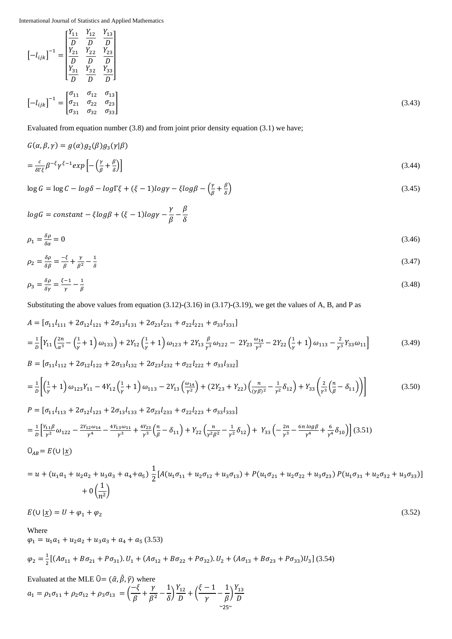$$
\begin{bmatrix} -l_{ijk} \end{bmatrix}^{-1} = \begin{bmatrix} \frac{Y_{11}}{D} & \frac{Y_{12}}{D} & \frac{Y_{13}}{D} \\ \frac{Y_{21}}{D} & \frac{Y_{22}}{D} & \frac{Y_{23}}{D} \\ \frac{Y_{31}}{D} & \frac{Y_{32}}{D} & \frac{Y_{33}}{D} \end{bmatrix}
$$

$$
\begin{bmatrix} -l_{ijk} \end{bmatrix}^{-1} = \begin{bmatrix} \sigma_{11} & \sigma_{12} & \sigma_{13} \\ \sigma_{21} & \sigma_{22} & \sigma_{23} \\ \sigma_{31} & \sigma_{32} & \sigma_{33} \end{bmatrix}
$$
(3.43)

Evaluated from equation number (3.8) and from joint prior density equation (3.1) we have;

$$
G(\alpha,\beta,\gamma)=g(\alpha)g_2(\beta)g_3(\gamma|\beta)
$$

$$
=\frac{c}{\delta \Gamma \xi} \beta^{-\xi} \gamma^{\xi-1} exp\left[-\left(\frac{\gamma}{\beta} + \frac{\beta}{\delta}\right)\right]
$$
\n(3.44)

$$
\log G = \log C - \log \delta - \log \Gamma \xi + (\xi - 1) \log \gamma - \xi \log \beta - \left(\frac{\gamma}{\beta} + \frac{\beta}{\delta}\right) \tag{3.45}
$$

$$
logG = constant - \xi log\beta + (\xi - 1) log\gamma - \frac{\gamma}{\beta} - \frac{\beta}{\delta}
$$

$$
\rho_1 = \frac{\delta \rho}{\delta a} = 0 \tag{3.46}
$$

$$
\rho_2 = \frac{\delta \rho}{\delta \beta} = \frac{-\xi}{\beta} + \frac{\gamma}{\beta^2} - \frac{1}{\delta} \tag{3.47}
$$

$$
\rho_3 = \frac{\delta \rho}{\delta \gamma} = \frac{\xi - 1}{\gamma} - \frac{1}{\beta} \tag{3.48}
$$

Substituting the above values from equation (3.12)**-**(3.16) in (3.17)**-**(3.19), we get the values of A, B, and P as

$$
A = [\sigma_{11}l_{111} + 2\sigma_{12}l_{121} + 2\sigma_{13}l_{131} + 2\sigma_{23}l_{231} + \sigma_{22}l_{221} + \sigma_{33}l_{331}]
$$
  
\n
$$
= \frac{1}{D} \Big[ Y_{11} \Big( \frac{2n}{\alpha^3} - \Big( \frac{1}{\gamma} + 1 \Big) \omega_{133} \Big) + 2Y_{12} \Big( \frac{1}{\gamma} + 1 \Big) \omega_{123} + 2Y_{13} \frac{\beta}{\gamma^3} \omega_{122} - 2Y_{23} \frac{\omega_{14}}{\gamma^2} - 2Y_{22} \Big( \frac{1}{\gamma} + 1 \Big) \omega_{113} - \frac{2}{\gamma^3} Y_{33} \omega_{11} \Big]
$$
(3.49)  
\n
$$
B = [\sigma_{11}l_{112} + 2\sigma_{12}l_{122} + 2\sigma_{12}l_{122} + 2\sigma_{22}l_{222} + \sigma_{22}l_{222} + \sigma_{22}l_{222}]
$$

$$
= \frac{1}{D} \left[ \left( \frac{1}{\gamma} + 1 \right) \omega_{123} Y_{11} - 4 Y_{12} \left( \frac{1}{\gamma} + 1 \right) \omega_{113} - 2 Y_{13} \left( \frac{\omega_{14}}{\gamma^2} \right) + (2 Y_{23} + Y_{22}) \left( \frac{n}{(\gamma \beta)^2} - \frac{1}{\gamma^2} \delta_{12} \right) + Y_{33} \left( \frac{2}{\gamma^3} \left( \frac{n}{\beta} - \delta_{11} \right) \right) \right]
$$
(3.50)

$$
P = [\sigma_{11}l_{113} + 2\sigma_{12}l_{123} + 2\sigma_{13}l_{133} + 2\sigma_{23}l_{233} + \sigma_{22}l_{223} + \sigma_{33}l_{333}]
$$
  
\n
$$
= \frac{1}{D} \left[ \frac{Y_{11}\beta}{\gamma^2} \omega_{122} - \frac{2Y_{12}\omega_{14}}{\gamma^4} - \frac{4Y_{13}\omega_{11}}{\gamma^3} + \frac{4Y_{23}}{\gamma^3} \left( \frac{n}{\beta} - \delta_{11} \right) + Y_{22} \left( \frac{n}{\gamma^2 \beta^2} - \frac{1}{\gamma^2} \delta_{12} \right) + Y_{33} \left( -\frac{2n}{\gamma^3} - \frac{6n \log \beta}{\gamma^4} + \frac{6}{\gamma^4} \delta_{10} \right) \right]
$$
(3.51)  
\n
$$
O_{AB} = E(U | \underline{x})
$$

$$
= u + (u_1a_1 + u_2a_2 + u_3a_3 + a_4 + a_5) \frac{1}{2} [A(u_1\sigma_{11} + u_2\sigma_{12} + u_3\sigma_{13}) + P(u_1\sigma_{21} + u_2\sigma_{22} + u_3\sigma_{23}) P(u_1\sigma_{31} + u_2\sigma_{32} + u_3\sigma_{33})]
$$
  
+ 0 $\left(\frac{1}{n^2}\right)$ 

 $E(U | x) = U + \varphi_1 + \varphi_2$ (3.52)

Where  $\varphi_1 = u_1 a_1 + u_2 a_2 + u_3 a_3 + a_4 + a_5$  (3.53)  $\varphi_2 = \frac{1}{2}$  $\frac{1}{2}[(A\sigma_{11} + B\sigma_{21} + P\sigma_{31}) \cdot U_1 + (A\sigma_{12} + B\sigma_{22} + P\sigma_{32}) \cdot U_2 + (A\sigma_{13} + B\sigma_{23} + P\sigma_{33})U_3]$  (3.54)

Evaluated at the MLE  $\hat{U} = (\hat{\alpha}, \hat{\beta}, \hat{\gamma})$  where

$$
a_1 = \rho_1 \sigma_{11} + \rho_2 \sigma_{12} + \rho_3 \sigma_{13} = \left(\frac{-\xi}{\beta} + \frac{\gamma}{\beta^2} - \frac{1}{\delta}\right) \frac{Y_{12}}{D} + \left(\frac{\xi - 1}{\gamma} - \frac{1}{\beta}\right) \frac{Y_{13}}{D}
$$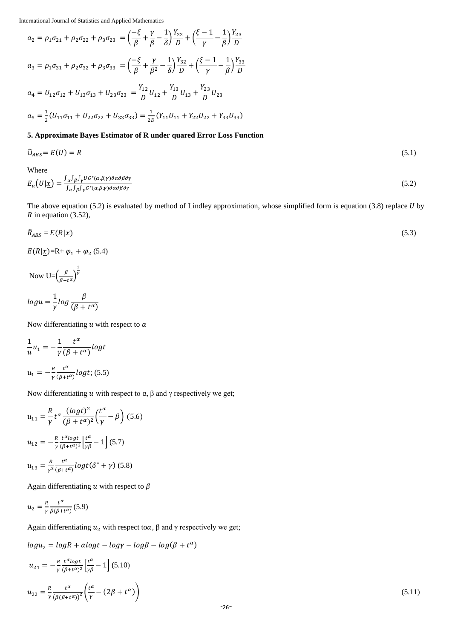$$
a_2 = \rho_1 \sigma_{21} + \rho_2 \sigma_{22} + \rho_3 \sigma_{23} = \left(\frac{-\xi}{\beta} + \frac{\gamma}{\beta} - \frac{1}{\delta}\right) \frac{Y_{22}}{D} + \left(\frac{\xi - 1}{\gamma} - \frac{1}{\beta}\right) \frac{Y_{23}}{D}
$$
  
\n
$$
a_3 = \rho_1 \sigma_{31} + \rho_2 \sigma_{32} + \rho_3 \sigma_{33} = \left(\frac{-\xi}{\beta} + \frac{\gamma}{\beta^2} - \frac{1}{\delta}\right) \frac{Y_{32}}{D} + \left(\frac{\xi - 1}{\gamma} - \frac{1}{\beta}\right) \frac{Y_{33}}{D}
$$
  
\n
$$
a_4 = U_{12} \sigma_{12} + U_{13} \sigma_{13} + U_{23} \sigma_{23} = \frac{Y_{12}}{D} U_{12} + \frac{Y_{13}}{D} U_{13} + \frac{Y_{23}}{D} U_{23}
$$
  
\n
$$
a_5 = \frac{1}{2} (U_{11} \sigma_{11} + U_{22} \sigma_{22} + U_{33} \sigma_{33}) = \frac{1}{2D} (Y_{11} U_{11} + Y_{22} U_{22} + Y_{33} U_{33})
$$

## **5. Approximate Bayes Estimator of R under quared Error Loss Function**

$$
\widehat{\mathcal{O}}_{ABS} = E(U) = R \tag{5.1}
$$

Where

$$
E_u\left(U|\underline{x}\right) = \frac{\int_{\alpha} \int_{\beta} \int_{\gamma} U G^*(\alpha, \beta, \gamma) \partial \alpha \partial \beta \partial \gamma}{\int_{\alpha} \int_{\beta} \int_{\gamma} G^*(\alpha, \beta, \gamma) \partial \alpha \partial \beta \partial \gamma}
$$
(5.2)

The above equation  $(5.2)$  is evaluated by method of Lindley approximation, whose simplified form is equation  $(3.8)$  replace U by  $R$  in equation (3.52),

$$
\hat{R}_{ABS} = E(R|\underline{x}) \tag{5.3}
$$

 $E(R|\underline{x})=R+\varphi_1+\varphi_2$  (5.4)

Now U= $\left(\frac{\beta}{\rho}\right)$  $\frac{P}{\beta+t^{\alpha}}$  $\frac{1}{\gamma}$ 

$$
log u = \frac{1}{\gamma} log \frac{\beta}{(\beta + t^{\alpha})}
$$

Now differentiating  $u$  with respect to  $\alpha$ 

$$
\frac{1}{u}u_1 = -\frac{1}{\gamma} \frac{t^{\alpha}}{(\beta + t^{\alpha})} log t
$$

$$
u_1 = -\frac{R}{\gamma} \frac{t^{\alpha}}{(\beta + t^{\alpha})} log t; (5.5)
$$

Now differentiating  $u$  with respect to  $\alpha$ ,  $\beta$  and  $\gamma$  respectively we get;

$$
u_{11} = \frac{R}{\gamma} t^{\alpha} \frac{(\log t)^2}{(\beta + t^{\alpha})^2} \left(\frac{t^{\alpha}}{\gamma} - \beta\right)
$$
(5.6)  

$$
u_{12} = -\frac{R}{\gamma} \frac{t^{\alpha} \log t}{(\beta + t^{\alpha})^2} \left[\frac{t^{\alpha}}{\gamma \beta} - 1\right]
$$
(5.7)  

$$
u_{13} = \frac{R}{\gamma^3} \frac{t^{\alpha}}{(\beta + t^{\alpha})} \log t (\delta^* + \gamma)
$$
(5.8)

Again differentiating  $u$  with respect to  $\beta$ 

$$
u_2 = \frac{R}{\gamma} \frac{t^{\alpha}}{\beta(\beta + t^{\alpha})} (5.9)
$$

Again differentiating  $u_2$  with respect to  $\alpha$ ,  $\beta$  and  $\gamma$  respectively we get;

$$
logu_2 = logR + alogt - log\gamma - log\beta - log(\beta + t^{\alpha})
$$
  
\n
$$
u_{21} = -\frac{R}{\gamma} \frac{t^{\alpha}logt}{(\beta + t^{\alpha})^2} \left[\frac{t^{\alpha}}{\gamma \beta} - 1\right] (5.10)
$$
  
\n
$$
u_{22} = \frac{R}{\gamma} \frac{t^{\alpha}}{(\beta(\beta + t^{\alpha}))^2} \left(\frac{t^{\alpha}}{\gamma} - (2\beta + t^{\alpha})\right)
$$
\n(5.11)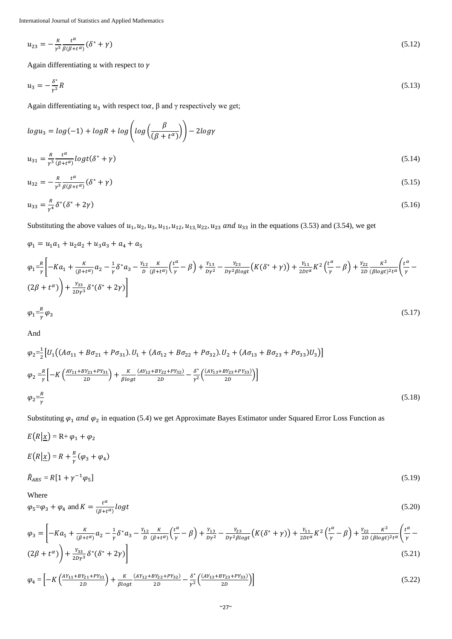$$
u_{23} = -\frac{R}{\gamma^3} \frac{t^{\alpha}}{\beta(\beta + t^{\alpha})} (\delta^* + \gamma) \tag{5.12}
$$

Again differentiating  $u$  with respect to  $\gamma$ 

$$
u_3 = -\frac{\delta^*}{r^2}R\tag{5.13}
$$

Again differentiating  $u_3$  with respect to  $\alpha$ ,  $\beta$  and  $\gamma$  respectively we get;

$$
logu_3 = log(-1) + logR + log\left(log\left(\frac{\beta}{(\beta + t^{\alpha})}\right)\right) - 2log\gamma
$$
  

$$
u_{31} = \frac{R}{\gamma^3} \frac{t^{\alpha}}{(\beta + t^{\alpha})} logt(\delta^* + \gamma)
$$
 (5.14)

$$
u_{32} = -\frac{R}{\gamma^3} \frac{t^{\alpha}}{\beta(\beta + t^{\alpha})} (\delta^* + \gamma) \tag{5.15}
$$

$$
u_{33} = \frac{R}{\gamma^4} \delta^* (\delta^* + 2\gamma) \tag{5.16}
$$

Substituting the above values of  $u_1, u_2, u_3, u_{11}, u_{12}, u_{13}, u_{22}, u_{23}$  and  $u_{33}$  in the equations (3.53) and (3.54), we get

$$
\varphi_{1} = u_{1}a_{1} + u_{2}a_{2} + u_{3}a_{3} + a_{4} + a_{5}
$$
\n
$$
\varphi_{1} = \frac{R}{\gamma} \left[ -Ka_{1} + \frac{K}{(\beta + t^{\alpha})}a_{2} - \frac{1}{\gamma}\delta^{*}a_{3} - \frac{Y_{12}}{D} \frac{K}{(\beta + t^{\alpha})} \left( \frac{t^{\alpha}}{\gamma} - \beta \right) + \frac{Y_{13}}{D\gamma^{2}} - \frac{Y_{23}}{D\gamma^{2} \beta \log t} \left( K(\delta^{*} + \gamma) \right) + \frac{Y_{11}}{2Dt^{\alpha}} K^{2} \left( \frac{t^{\alpha}}{\gamma} - \beta \right) + \frac{Y_{22}}{2D} \frac{K^{2}}{(\beta \log t)^{2} t^{\alpha}} \left( \frac{t^{\alpha}}{\gamma} - \beta \right) \right]
$$
\n
$$
\varphi_{1} = \frac{R}{\gamma} \varphi_{3}
$$
\n
$$
(5.17)
$$

And

$$
\varphi_2 = \frac{1}{2} \left[ U_1 \left( (A\sigma_{11} + B\sigma_{21} + P\sigma_{31}) \cdot U_1 + (A\sigma_{12} + B\sigma_{22} + P\sigma_{32}) \cdot U_2 + (A\sigma_{13} + B\sigma_{23} + P\sigma_{33}) U_3 \right) \right]
$$
  
\n
$$
\varphi_2 = \frac{R}{\gamma} \left[ -K \left( \frac{AY_{11} + BY_{21} + PY_{31}}{2D} \right) + \frac{K}{\beta \log t} \frac{(AY_{12} + BY_{22} + PY_{32})}{2D} - \frac{\delta^*}{\gamma^2} \left( \frac{(AY_{13} + BY_{23} + PY_{33})}{2D} \right) \right]
$$
  
\n
$$
\varphi_2 = \frac{R}{\gamma} \tag{5.18}
$$

Substituting  $\varphi_1$  and  $\varphi_2$  in equation (5.4) we get Approximate Bayes Estimator under Squared Error Loss Function as

$$
E(R|\underline{x}) = R + \varphi_1 + \varphi_2
$$
  
\n
$$
E(R|\underline{x}) = R + \frac{R}{\gamma}(\varphi_3 + \varphi_4)
$$
  
\n
$$
\hat{R}_{ABS} = R[1 + \gamma^{-1}\varphi_5]
$$
\n(5.19)

Where

$$
\varphi_5 = \varphi_3 + \varphi_4 \text{ and } K = \frac{t^{\alpha}}{(\beta + t^{\alpha})} \log t \tag{5.20}
$$

$$
\varphi_{3} = \left[ -Ka_{1} + \frac{\kappa}{(\beta + t^{\alpha})} a_{2} - \frac{1}{\gamma} \delta^{*} a_{3} - \frac{Y_{12}}{D} \frac{\kappa}{(\beta + t^{\alpha})} \left( \frac{t^{\alpha}}{\gamma} - \beta \right) + \frac{Y_{13}}{D\gamma^{2}} - \frac{Y_{23}}{D\gamma^{2} \beta \log t} \left( K(\delta^{*} + \gamma) \right) + \frac{Y_{11}}{2Dt^{\alpha}} K^{2} \left( \frac{t^{\alpha}}{\gamma} - \beta \right) + \frac{Y_{22}}{2D} \frac{\kappa^{2}}{(\beta \log t)^{2} t^{\alpha}} \left( \frac{t^{\alpha}}{\gamma} - \beta \right) \right]
$$
\n
$$
(5.21)
$$

$$
\varphi_4 = \left[ -K \left( \frac{AY_{11} + BY_{21} + PY_{31}}{2D} \right) + \frac{K}{\beta \log t} \frac{(AY_{12} + BY_{22} + PY_{32})}{2D} - \frac{\delta^*}{\gamma^2} \left( \frac{(AY_{13} + BY_{23} + PY_{33})}{2D} \right) \right]
$$
(5.22)